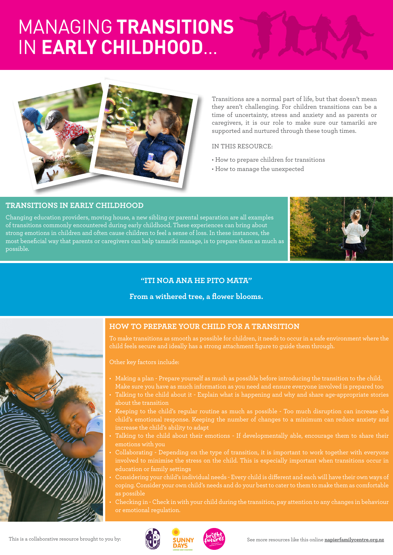# MANAGING **TRANSITIONS** IN **EARLY CHILDHOOD**...



Transitions are a normal part of life, but that doesn't mean they aren't challenging. For children transitions can be a time of uncertainty, stress and anxiety and as parents or caregivers, it is our role to make sure our tamariki are supported and nurtured through these tough times.

### IN THIS RESOURCE:

- How to prepare children for transitions
- How to manage the unexpected

### **TRANSITIONS IN EARLY CHILDHOOD**

Changing education providers, moving house, a new sibling or parental separation are all examples of transitions commonly encountered during early childhood. These experiences can bring about strong emotions in children and often cause children to feel a sense of loss. In these instances, the most beneficial way that parents or caregivers can help tamariki manage, is to prepare them as much as possible.



## **"ITI NOA ANA HE PITO MATA"**

#### **From a withered tree, a flower blooms.**



## **HOW TO PREPARE YOUR CHILD FOR A TRANSITION**

To make transitions as smooth as possible for children, it needs to occur in a safe environment where the child feels secure and ideally has a strong attachment figure to guide them through.

#### Other key factors include:

- Make sure you have as much information as you need and ensure everyone involved is prepared too
- Talking to the child about it Explain what is happening and why and share age-appropriate stories about the transition
- Keeping to the child's regular routine as much as possible Too much disruption can increase the child's emotional response. Keeping the number of changes to a minimum can reduce anxiety and increase the child's ability to adapt
- emotions with you
- Collaborating Depending on the type of transition, it is important to work together with everyone involved to minimise the stress on the child. This is especially important when transitions occur in education or family settings
- Considering your child's individual needs Every child is different and each will have their own ways of as possible
- Checking in Check in with your child during the transition, pay attention to any changes in behaviour or emotional regulation.